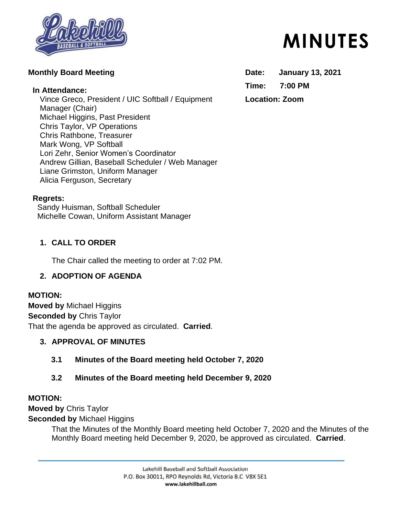

## **Monthly Board Meeting**

### **In Attendance:**

Vince Greco, President / UIC Softball / Equipment Manager (Chair) Michael Higgins, Past President Chris Taylor, VP Operations Chris Rathbone, Treasurer Mark Wong, VP Softball Lori Zehr, Senior Women's Coordinator Andrew Gillian, Baseball Scheduler / Web Manager Liane Grimston, Uniform Manager Alicia Ferguson, Secretary

#### **Regrets:**

Sandy Huisman, Softball Scheduler Michelle Cowan, Uniform Assistant Manager

## **1. CALL TO ORDER**

The Chair called the meeting to order at 7:02 PM.

## **2. ADOPTION OF AGENDA**

## **MOTION:**

**Moved by** Michael Higgins **Seconded by** Chris Taylor That the agenda be approved as circulated. **Carried**.

## **3. APPROVAL OF MINUTES**

**3.1 Minutes of the Board meeting held October 7, 2020**

## **3.2 Minutes of the Board meeting held December 9, 2020**

## **MOTION:**

**Moved by** Chris Taylor

**Seconded by** Michael Higgins

That the Minutes of the Monthly Board meeting held October 7, 2020 and the Minutes of the Monthly Board meeting held December 9, 2020, be approved as circulated. **Carried**.

> Lakehill Baseball and Softball Association P.O. Box 30011, RPO Reynolds Rd, Victoria B.C V8X 5E1 www.lakehillball.com

# **MINUTES**

**Date: January 13, 2021 Time: 7:00 PM Location: Zoom**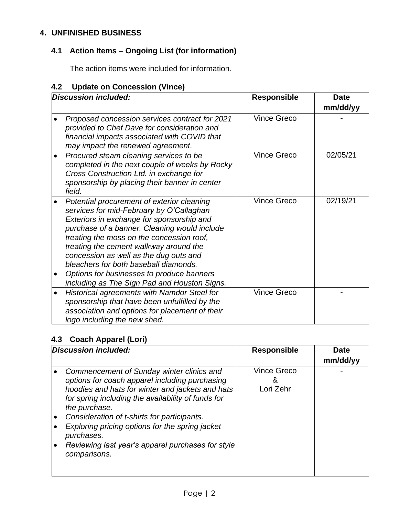# **4. UNFINISHED BUSINESS**

# **4.1 Action Items – Ongoing List (for information)**

The action items were included for information.

# **4.2 Update on Concession (Vince)**

|           | <b>Discussion included:</b>                                                                                                                                                                                                                                                                                                                                                                                                                                | <b>Responsible</b> | <b>Date</b> |
|-----------|------------------------------------------------------------------------------------------------------------------------------------------------------------------------------------------------------------------------------------------------------------------------------------------------------------------------------------------------------------------------------------------------------------------------------------------------------------|--------------------|-------------|
|           |                                                                                                                                                                                                                                                                                                                                                                                                                                                            |                    | mm/dd/yy    |
|           | Proposed concession services contract for 2021<br>provided to Chef Dave for consideration and<br>financial impacts associated with COVID that<br>may impact the renewed agreement.                                                                                                                                                                                                                                                                         | <b>Vince Greco</b> |             |
|           | Procured steam cleaning services to be<br>completed in the next couple of weeks by Rocky<br>Cross Construction Ltd. in exchange for<br>sponsorship by placing their banner in center<br>field.                                                                                                                                                                                                                                                             | <b>Vince Greco</b> | 02/05/21    |
|           | Potential procurement of exterior cleaning<br>services for mid-February by O'Callaghan<br>Exteriors in exchange for sponsorship and<br>purchase of a banner. Cleaning would include<br>treating the moss on the concession roof,<br>treating the cement walkway around the<br>concession as well as the dug outs and<br>bleachers for both baseball diamonds.<br>Options for businesses to produce banners<br>including as The Sign Pad and Houston Signs. | <b>Vince Greco</b> | 02/19/21    |
| $\bullet$ | Historical agreements with Namdor Steel for<br>sponsorship that have been unfulfilled by the<br>association and options for placement of their<br>logo including the new shed.                                                                                                                                                                                                                                                                             | <b>Vince Greco</b> |             |

## **4.3 Coach Apparel (Lori)**

| Discussion included:                                                                                                                                                                                                                                                                                                                                                                        | <b>Responsible</b>              | <b>Date</b> |
|---------------------------------------------------------------------------------------------------------------------------------------------------------------------------------------------------------------------------------------------------------------------------------------------------------------------------------------------------------------------------------------------|---------------------------------|-------------|
|                                                                                                                                                                                                                                                                                                                                                                                             |                                 | mm/dd/yy    |
| Commencement of Sunday winter clinics and<br>options for coach apparel including purchasing<br>hoodies and hats for winter and jackets and hats<br>for spring including the availability of funds for<br>the purchase.<br>Consideration of t-shirts for participants.<br>Exploring pricing options for the spring jacket<br>purchases.<br>Reviewing last year's apparel purchases for style | <b>Vince Greco</b><br>Lori Zehr |             |
| comparisons.                                                                                                                                                                                                                                                                                                                                                                                |                                 |             |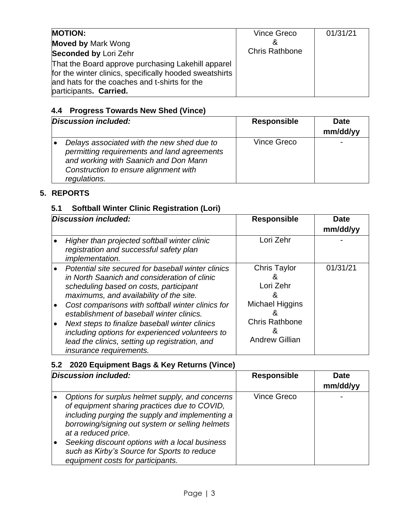| <b>MOTION:</b><br><b>Moved by Mark Wong</b><br><b>Seconded by Lori Zehr</b><br>That the Board approve purchasing Lakehill apparel<br>for the winter clinics, specifically hooded sweatshirts<br>and hats for the coaches and t-shirts for the<br>participants. Carried. | Vince Greco<br>&<br><b>Chris Rathbone</b> | 01/31/21 |
|-------------------------------------------------------------------------------------------------------------------------------------------------------------------------------------------------------------------------------------------------------------------------|-------------------------------------------|----------|
|-------------------------------------------------------------------------------------------------------------------------------------------------------------------------------------------------------------------------------------------------------------------------|-------------------------------------------|----------|

# **4.4 Progress Towards New Shed (Vince)**

| Discussion included: |                                                                                                                                                                                             | <b>Responsible</b> | <b>Date</b><br>mm/dd/yy |
|----------------------|---------------------------------------------------------------------------------------------------------------------------------------------------------------------------------------------|--------------------|-------------------------|
|                      | Delays associated with the new shed due to<br>permitting requirements and land agreements<br>and working with Saanich and Don Mann<br>Construction to ensure alignment with<br>regulations. | Vince Greco        |                         |

# **5. REPORTS**

## **5.1 Softball Winter Clinic Registration (Lori)**

| Discussion included:                                                                                                                                                                                                                                                                                                                                                                                                                                                                                               | <b>Responsible</b>                                                                                                   | <b>Date</b><br>mm/dd/yy |
|--------------------------------------------------------------------------------------------------------------------------------------------------------------------------------------------------------------------------------------------------------------------------------------------------------------------------------------------------------------------------------------------------------------------------------------------------------------------------------------------------------------------|----------------------------------------------------------------------------------------------------------------------|-------------------------|
| Higher than projected softball winter clinic<br>registration and successful safety plan<br><i>implementation.</i>                                                                                                                                                                                                                                                                                                                                                                                                  | Lori Zehr                                                                                                            |                         |
| Potential site secured for baseball winter clinics<br>$\bullet$<br>in North Saanich and consideration of clinic<br>scheduling based on costs, participant<br>maximums, and availability of the site.<br>Cost comparisons with softball winter clinics for<br>$\bullet$<br>establishment of baseball winter clinics.<br>Next steps to finalize baseball winter clinics<br>$\bullet$<br>including options for experienced volunteers to<br>lead the clinics, setting up registration, and<br>insurance requirements. | <b>Chris Taylor</b><br>&<br>Lori Zehr<br>8<br>Michael Higgins<br><b>Chris Rathbone</b><br>&<br><b>Andrew Gillian</b> | 01/31/21                |

## **5.2 2020 Equipment Bags & Key Returns (Vince)**

| Discussion included: |                                                                                                                                                                                                                                                                                                                                                                    | <b>Responsible</b> | <b>Date</b><br>mm/dd/yy |
|----------------------|--------------------------------------------------------------------------------------------------------------------------------------------------------------------------------------------------------------------------------------------------------------------------------------------------------------------------------------------------------------------|--------------------|-------------------------|
|                      | Options for surplus helmet supply, and concerns<br>of equipment sharing practices due to COVID,<br>including purging the supply and implementing a<br>borrowing/signing out system or selling helmets<br>at a reduced price.<br>Seeking discount options with a local business<br>such as Kirby's Source for Sports to reduce<br>equipment costs for participants. | <b>Vince Greco</b> |                         |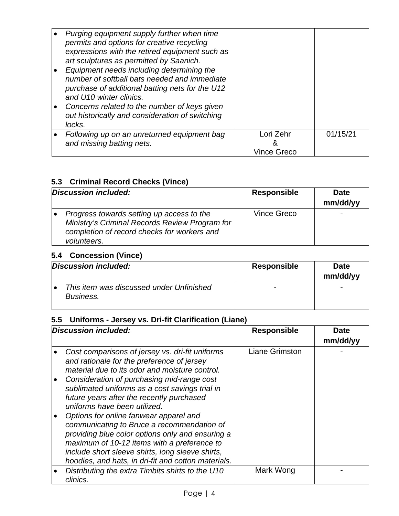| Purging equipment supply further when time<br>permits and options for creative recycling<br>expressions with the retired equipment such as<br>art sculptures as permitted by Saanich.<br>Equipment needs including determining the<br>number of softball bats needed and immediate<br>purchase of additional batting nets for the U12<br>and U10 winter clinics.<br>Concerns related to the number of keys given<br>out historically and consideration of switching<br>locks. |                               |          |
|-------------------------------------------------------------------------------------------------------------------------------------------------------------------------------------------------------------------------------------------------------------------------------------------------------------------------------------------------------------------------------------------------------------------------------------------------------------------------------|-------------------------------|----------|
| Following up on an unreturned equipment bag<br>and missing batting nets.                                                                                                                                                                                                                                                                                                                                                                                                      | Lori Zehr<br>&<br>Vince Greco | 01/15/21 |

## **5.3 Criminal Record Checks (Vince)**

| Discussion included:                                                                                                                                      | <b>Responsible</b> | <b>Date</b><br>mm/dd/yy |
|-----------------------------------------------------------------------------------------------------------------------------------------------------------|--------------------|-------------------------|
| Progress towards setting up access to the<br>Ministry's Criminal Records Review Program for<br>completion of record checks for workers and<br>volunteers. | Vince Greco        |                         |

# **5.4 Concession (Vince)**

| Discussion included:                                  | <b>Responsible</b> | <b>Date</b><br>mm/dd/yy |
|-------------------------------------------------------|--------------------|-------------------------|
| This item was discussed under Unfinished<br>Business. |                    |                         |

# **5.5 Uniforms - Jersey vs. Dri-fit Clarification (Liane)**

| <b>Discussion included:</b>                                                                                                                                                                                                                                                                                                                                                                                                                                                                                                                                                 | <b>Responsible</b>    | Date<br>mm/dd/yy |
|-----------------------------------------------------------------------------------------------------------------------------------------------------------------------------------------------------------------------------------------------------------------------------------------------------------------------------------------------------------------------------------------------------------------------------------------------------------------------------------------------------------------------------------------------------------------------------|-----------------------|------------------|
| Cost comparisons of jersey vs. dri-fit uniforms<br>and rationale for the preference of jersey<br>material due to its odor and moisture control.<br>Consideration of purchasing mid-range cost<br>sublimated uniforms as a cost savings trial in<br>future years after the recently purchased<br>uniforms have been utilized.<br>Options for online fanwear apparel and<br>communicating to Bruce a recommendation of<br>providing blue color options only and ensuring a<br>maximum of 10-12 items with a preference to<br>include short sleeve shirts, long sleeve shirts, | <b>Liane Grimston</b> |                  |
| hoodies, and hats, in dri-fit and cotton materials.                                                                                                                                                                                                                                                                                                                                                                                                                                                                                                                         |                       |                  |
| Distributing the extra Timbits shirts to the U10<br>clinics.                                                                                                                                                                                                                                                                                                                                                                                                                                                                                                                | Mark Wong             |                  |